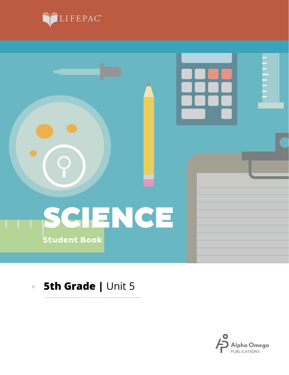



#### **5th Grade | Unit 5**  $\blacktriangleright$

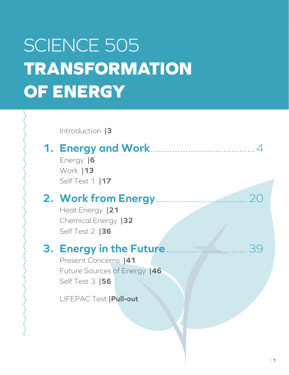# SCIENCE 505 **TRANSFORMATION OF ENERGY**

Introduction **|3**

### **1. Energy and Work**.......................................4

Energy **|6** Work **|13** Self Test 1 **|17**

### **2. Work from Energy**..................................20

Heat Energy **|21** Chemical Energy **|32** Self Test 2 **|36**

### **3. Energy in the Future**..............................39

Present Concerns **|41** Future Sources of Energy **|46** Self Test 3 **|56**

LIFEPAC Test **|Pull-out**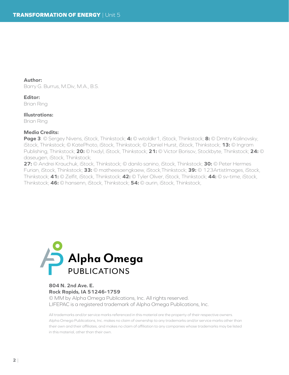**Author:**

Barry G. Burrus, M.Div, M.A., B.S.

**Editor:** Brian Ring

**Illustrations:** Brian Ring

#### **Media Credits:**

**Page 3**: © Sergey Nivens, iStock, Thinkstock; **4:** © witoldkr1, iStock, Thinkstock; **8:** © Dmitry Kalinovsky, iStock, Thinkstock; © KatePhoto, iStock, Thinkstock; © Daniel Hurst, iStock, Thinkstock; **13:** © Ingram Publishing, Thinkstock; **20:** © hxdyl, iStock, Thinkstock; **21:** © Victor Borisov, Stockbyte, Thinkstock; **24:** © daseugen, iStock, Thinkstock;

**27:** © Andrei Krauchuk, iStock, Thinkstock; © danilo sanino, iStock, Thinkstock; **30:** © Peter Hermes Furian, iStock, Thinkstock; **33:** © matheesaengkaew, iStock,Thinkstock; **39:** © 123ArtistImages, iStock, Thinkstock; **41:** © Zelfit, iStock, Thinkstock; **42:** © Tyler Oliver, iStock, Thinkstock; **44:** © sv-time, iStock, Thinkstock; **46:** © hansenn, iStock, Thinkstock; **54:** © aurin, iStock, Thinkstock,



#### **804 N. 2nd Ave. E. Rock Rapids, IA 51246-1759**

© MM by Alpha Omega Publications, Inc. All rights reserved. LIFEPAC is a registered trademark of Alpha Omega Publications, Inc.

All trademarks and/or service marks referenced in this material are the property of their respective owners. Alpha Omega Publications, Inc. makes no claim of ownership to any trademarks and/or service marks other than their own and their affiliates, and makes no claim of affiliation to any companies whose trademarks may be listed in this material, other than their own.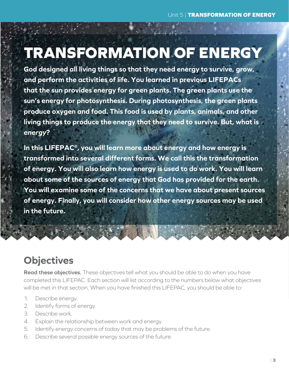# **TRANSFORMATION OF ENERGY**

**God designed all living things so that they need energy to survive, grow, and perform the activities of life. You learned in previous LIFEPACs that the sun provides energy for green plants. The green plants use the sun's energy for photosynthesis. During photosynthesis, the green plants produce oxygen and food. This food is used by plants, animals, and other living things to produce the energy that they need to survive. But, what is**  *energy***?**

**In this LIFEPAC®, you will learn more about energy and how energy is transformed into several different forms. We call this the transformation of energy. You will also learn how energy is used to do work. You will learn about some of the sources of energy that God has provided for the earth. You will examine some of the concerns that we have about present sources of energy. Finally, you will consider how other energy sources may be used in the future.**

### **Objectives**

**Read these objectives.** These objectives tell what you should be able to do when you have completed this LIFEPAC. Each section will list according to the numbers below what objectives will be met in that section. When you have finished this LIFEPAC, you should be able to:

- 1. Describe energy.
- 2. Identify forms of energy.
- 3. Describe work.
- 4. Explain the relationship between work and energy.
- 5. Identify energy concerns of today that may be problems of the future.
- 6. Describe several possible energy sources of the future.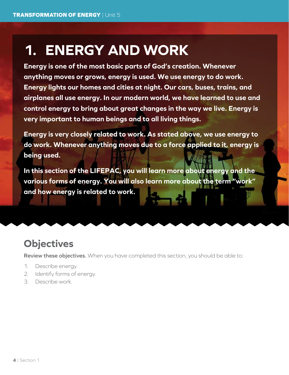## **1. ENERGY AND WORK**

**Energy is one of the most basic parts of God's creation. Whenever anything moves or grows, energy is used. We use energy to do work. Energy lights our homes and cities at night. Our cars, buses, trains, and airplanes all use energy. In our modern world, we have learned to use and control energy to bring about great changes in the way we live. Energy is very important to human beings and to all living things.**

**Energy is very closely related to work. As stated above, we use energy to do work. Whenever anything moves due to a force applied to it, energy is being used.**

**In this section of the LIFEPAC, you will learn more about energy and the various forms of energy. You will also learn more about the term "work" and how energy is related to work.**

### **Objectives**

**Review these objectives.** When you have completed this section, you should be able to:

- 1. Describe energy.
- 2. Identify forms of energy.
- 3. Describe work.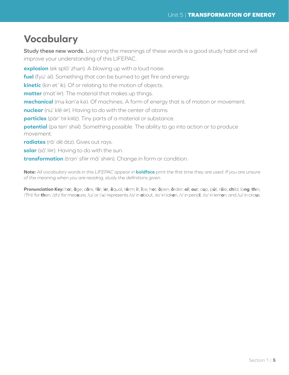### **Vocabulary**

**Study these new words.** Learning the meanings of these words is a good study habit and will improve your understanding of this LIFEPAC.

explosion (ek splō' zhan). A blowing up with a loud noise.

**fuel** (fyü' al). Something that can be burned to get fire and energy.

**kinetic** (kin et' ik). Of or relating to the motion of objects.

matter (mat'ar). The material that makes up things.

mechanical (mə kan'ə kə). Of machines. A form of energy that is of motion or movement.

**nuclear** (nü' klē <sup>e</sup> r). Having to do with the center of atoms.

particles (pär' ta kalz). Tiny parts of a material or substance.

potential (pa ten' shal). Something possible. The ability to go into action or to produce movement.

**radiates** (rā' dē ātz). Gives out rays.

solar (sō' lər). Having to do with the sun.

transformation (tran' sfər mā' shən). Change in form or condition.

**Note:** *All vocabulary words in this LIFEPAC appear in* **boldface** *print the first time they are used. If you are unsure of the meaning when you are reading, study the definitions given.*

Pronunciation Key: hat, āge, cãre, fär; let, ēqual, tėrm; it, īce; hot, ōpen, ôrder; oil; out; cup, půt, rüle; child; long; thin; /ŦH/ for **th**en; /zh/ for mea**s**ure; /u/ or / <sup>e</sup> / represents /a/ in **a**bout, /e/ in tak**e**n, /i/ in penc**i**l, /o/ in lem**o**n, and /u/ in circ**u**s.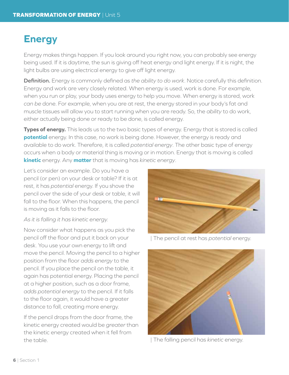### **Energy**

Energy makes things happen. If you look around you right now, you can probably see energy being used. If it is daytime, the sun is giving off heat energy and light energy. If it is night, the light bulbs are using electrical energy to give off light energy.

**Definition.** Energy is commonly defined as *the ability to do work*. Notice carefully this definition. Energy and work are very closely related. When energy is used, work is done. For example, when you run or play, your body uses energy to help you move. When energy is stored, work *can be* done. For example, when you are at rest, the energy stored in your body's fat and muscle tissues will allow you to start running when you are ready. So, the *ability* to do work, either actually being done or ready to be done, is called energy.

**Types of energy.** This leads us to the two basic types of energy. Energy that is stored is called **potential** energy. In this case, no work is being done. However, the energy is ready and available to do work. Therefore, it is called *potential energy*. The other basic type of energy occurs when a body or material thing is moving or in motion. Energy that is moving is called **kinetic** energy. Any **matter** that is moving has *kinetic energy*.

Let's consider an example. Do you have a pencil (or pen) on your desk or table? If it is at rest, it has *potential* energy. If you shove the pencil over the side of your desk or table, it will fall to the floor. When this happens, the pencil is moving as it falls to the floor.

#### *As it is falling it has kinetic energy.*

Now consider what happens as you pick the pencil off the floor and put it back on your desk. You use your own energy to lift and move the pencil. Moving the pencil to a higher position from the floor *adds energy* to the pencil. If you place the pencil on the table, it again has potential energy. Placing the pencil at a higher position, such as a door frame, *adds potential energy* to the pencil. If it falls to the floor again, it would have a greater distance to fall, creating more energy.

If the pencil drops from the door frame, the kinetic energy created would be *greater* than the kinetic energy created when it fell from the table.



| The pencil at rest has *potential* energy.



| The falling pencil has *kinetic* energy.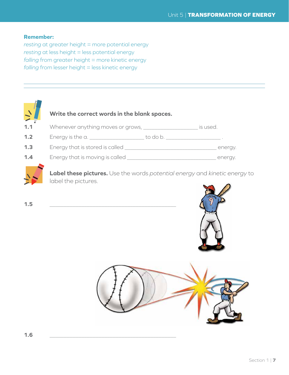#### **Remember:**

*resting* at greater height = more potential energy *resting* at less height = less potential energy *falling* from greater height = more kinetic energy *falling* from lesser height = less kinetic energy





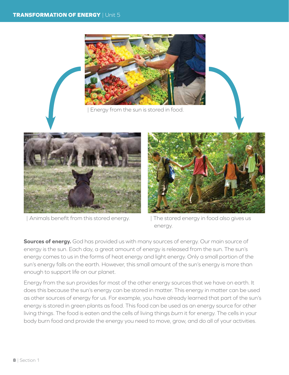

Energy from the sun is stored in food.



| Animals benefit from this stored energy.



| The stored energy in food also gives us energy.

**Sources of energy.** God has provided us with many sources of energy. Our main source of energy is the sun. Each day, a great amount of energy is released from the sun. The sun's energy comes to us in the forms of heat energy and light energy. Only a small portion of the sun's energy falls on the earth. However, this small amount of the sun's energy is more than enough to support life on our planet.

Energy from the sun provides for most of the other energy sources that we have on earth. It does this because the sun's energy can be stored in matter. This energy in matter can be used as other sources of energy for us. For example, you have already learned that part of the sun's energy is stored in green plants as food. This food can be used as an energy source for other living things. The food is eaten and the cells of living things *burn* it for energy. The cells in your body burn food and provide the energy you need to move, grow, and do all of your activities.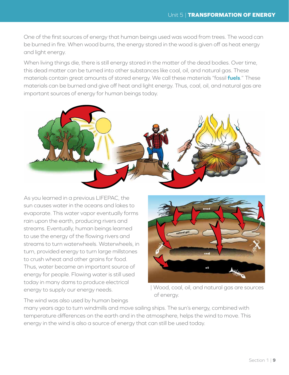One of the first sources of energy that human beings used was wood from trees. The wood can be burned in fire. When wood burns, the energy stored in the wood is given off as heat energy and light energy.

When living things die, there is still energy stored in the matter of the dead bodies. Over time, this dead matter can be turned into other substances like coal, oil, and natural gas. These materials contain great amounts of stored energy. We call these materials "fossil **fuels**." These materials can be burned and give off heat and light energy. Thus, coal, oil, and natural gas are important sources of energy for human beings today.



As you learned in a previous LIFEPAC, the sun causes water in the oceans and lakes to evaporate. This water vapor eventually forms rain upon the earth, producing rivers and streams. Eventually, human beings learned to use the energy of the flowing rivers and streams to turn waterwheels. Waterwheels, in turn, provided energy to turn large millstones to crush wheat and other grains for food. Thus, water became an important source of energy for people. Flowing water is still used today in many dams to produce electrical energy to supply our energy needs.



| Wood, coal, oil, and natural gas are sources of energy.

The wind was also used by human beings

many years ago to turn windmills and move sailing ships. The sun's energy, combined with temperature differences on the earth and in the atmosphere, helps the wind to move. This energy in the wind is also a source of energy that can still be used today.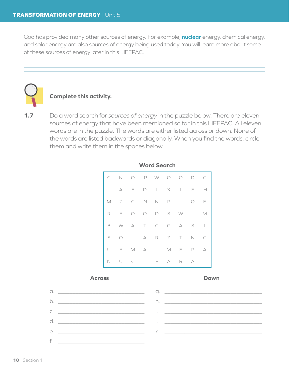God has provided many other sources of energy. For example, **nuclear** energy, chemical energy, and solar energy are also sources of energy being used today. You will learn more about some of these sources of energy later in this LIFEPAC.



#### **Complete this activity.**

**1.7** Do a word search for *sources of energy* in the puzzle below. There are eleven sources of energy that have been mentioned so far in this LIFEPAC. All eleven words are in the puzzle. The words are either listed across or down. None of the words are listed backwards or diagonally. When you find the words, circle them and write them in the spaces below.

|             |        |           | C N O P W O O D C |  |          |                |
|-------------|--------|-----------|-------------------|--|----------|----------------|
|             | L A    | $E = 1$   | D I X I F H       |  |          |                |
|             |        |           | M Z C N N P L Q E |  |          |                |
| R           |        |           | F O O D S W L M   |  |          |                |
|             |        |           | B W A T C G A S I |  |          |                |
| S           |        |           | O L A R Z T N C   |  |          |                |
|             |        |           | UFMALMEP          |  |          | $\overline{A}$ |
| $\mathbb N$ | $\cup$ | $\subset$ | L E A R           |  | $\wedge$ | L              |

#### **Word Search**

#### **Across Down**

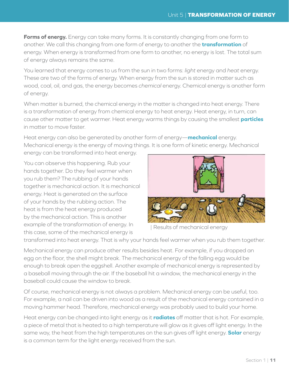**Forms of energy.** Energy can take many forms. It is constantly changing from one form to another. We call this changing from one form of energy to another the **transformation** of energy. When energy is transformed from one form to another, no energy is lost. The total sum of energy always remains the same.

You learned that energy comes to us from the sun in two forms: *light* energy and *heat* energy. These are two of the forms of energy. When energy from the sun is stored in matter such as wood, coal, oil, and gas, the energy becomes *chemical* energy. Chemical energy is another form of energy.

When matter is burned, the chemical energy in the matter is changed into heat energy. There is a transformation of energy from chemical energy to heat energy. Heat energy, in turn, can cause other matter to get warmer. Heat energy warms things by causing the smallest **particles** in matter to move faster.

Heat energy can also be generated by another form of energy—**mechanical** energy. Mechanical energy is the energy of moving things. It is one form of kinetic energy. Mechanical energy can be transformed into heat energy.

You can observe this happening. Rub your hands together. Do they feel warmer when you rub them? The rubbing of your hands together is mechanical action. It is mechanical energy. Heat is generated on the surface of your hands by the rubbing action. The heat is from the heat energy produced by the mechanical action. This is another example of the transformation of energy. In this case, some of the mechanical energy is



| Results of mechanical energy

transformed into heat energy. That is why your hands feel warmer when you rub them together.

Mechanical energy can produce other results besides heat. For example, if you dropped an egg on the floor, the shell might break. The mechanical energy of the falling egg would be enough to break open the eggshell. Another example of mechanical energy is represented by a baseball moving through the air. If the baseball hit a window, the mechanical energy in the baseball could cause the window to break.

Of course, mechanical energy is not always a problem. Mechanical energy can be useful, too. For example, a nail can be driven into wood as a result of the mechanical energy contained in a moving hammer head. Therefore, mechanical energy was probably used to build your home.

Heat energy can be changed into light energy as it **radiates** off matter that is hot. For example, a piece of metal that is heated to a high temperature will glow as it gives off light energy. In the same way, the heat from the high temperatures on the sun gives off light energy. **Solar** energy is a common term for the light energy received from the sun.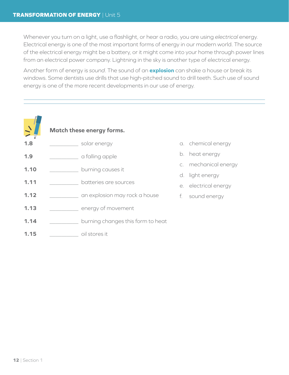Whenever you turn on a light, use a flashlight, or hear a radio, you are using *electrical* energy. Electrical energy is one of the most important forms of energy in our modern world. The source of the electrical energy might be a battery, or it might come into your home through power lines from an electrical power company. Lightning in the sky is another type of electrical energy.

Another form of energy is *sound*. The sound of an **explosion** can shake a house or break its windows. Some dentists use drills that use high-pitched sound to drill teeth. Such use of sound energy is one of the more recent developments in our use of energy.

| $\sqrt{2}$ | <b>Match these energy forms.</b>  |
|------------|-----------------------------------|
| 1.8        | solar energy                      |
| 1.9        | a falling apple                   |
| 1.10       | burning causes it                 |
| 1.11       | batteries are sources             |
| 1.12       | an explosion may rock a house     |
| 1.13       | energy of movement                |
| 1.14       | burning changes this form to heat |
| 1 15       | oil stores it                     |

- a. chemical energy
- b. heat energy
- c. mechanical energy
- d. light energy
- e. electrical energy
- f. sound energy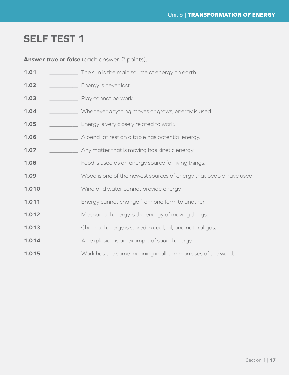### **SELF TEST 1**

**Answer** *true* **or** *false* (each answer, 2 points).

| 1.01  | The sun is the main source of energy on earth.                     |
|-------|--------------------------------------------------------------------|
| 1.02  | Energy is never lost.                                              |
| 1.03  | Play cannot be work.                                               |
| 1.04  | Whenever anything moves or grows, energy is used.                  |
| 1.05  | Energy is very closely related to work.                            |
| 1.06  | A pencil at rest on a table has potential energy.                  |
| 1.07  | Any matter that is moving has kinetic energy.                      |
| 1.08  | Food is used as an energy source for living things.                |
| 1.09  | Wood is one of the newest sources of energy that people have used. |
| 1.010 | Wind and water cannot provide energy.                              |
| 1.011 | Energy cannot change from one form to another.                     |
| 1.012 | Mechanical energy is the energy of moving things.                  |
| 1.013 | Chemical energy is stored in coal, oil, and natural gas.           |
| 1.014 | An explosion is an example of sound energy.                        |
| 1.015 | Work has the same meaning in all common uses of the word.          |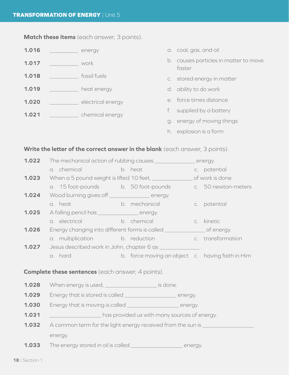### **Match these items** (each answer, 3 points).

| 1.016 |  | energy            |             | a. coal, gas, and oil                           |
|-------|--|-------------------|-------------|-------------------------------------------------|
| 1.017 |  | work              |             | b. causes particles in matter to move<br>faster |
| 1.018 |  | fossil fuels      |             | c. stored energy in matter                      |
| 1.019 |  | heat energy       |             | d. ability to do work                           |
| 1.020 |  | electrical energy |             | e. force times distance                         |
| 1.021 |  | chemical energy   |             | supplied by a battery                           |
|       |  |                   | $Q_{\cdot}$ | energy of moving things                         |

h. explosion is a form

### **Write the letter of the correct answer in the blank** (each answer, 3 points).

| 1.022 | The mechanical action of rubbing causes _________________ energy.           |  |                                                  |  |                     |  |
|-------|-----------------------------------------------------------------------------|--|--------------------------------------------------|--|---------------------|--|
|       | a. chemical and a state of the state of the                                 |  | b. heat                                          |  | c. potential        |  |
| 1.023 | When a 5 pound weight is lifted 10 feet, ________________ of work is done.  |  |                                                  |  |                     |  |
|       | a. 15 foot-pounds b. 50 foot-pounds                                         |  |                                                  |  | c. 50 newton-meters |  |
| 1.024 | Wood burning gives off ________________ energy.                             |  |                                                  |  |                     |  |
|       | a. heat                                                                     |  | <b>Example 2016</b> b. mechanical                |  | c. potential        |  |
| 1.025 | A falling pencil has _________________ energy.                              |  |                                                  |  |                     |  |
|       | a electrical b b b ehemical                                                 |  |                                                  |  | c. kinetic          |  |
| 1.026 | Energy changing into different forms is called _________________ of energy. |  |                                                  |  |                     |  |
|       | a. multiplication b. reduction b. c. transformation                         |  |                                                  |  |                     |  |
| 1.027 | Jesus described work in John, chapter 6 as _______________.                 |  |                                                  |  |                     |  |
|       | a. hard                                                                     |  | b. force moving an object c. having faith in Him |  |                     |  |
|       | <b>Complete these sentences</b> (each answer, 4 points).                    |  |                                                  |  |                     |  |
| 1.028 | When energy is used, _____________________ is done.                         |  |                                                  |  |                     |  |
| 1.029 | Energy that is stored is called ________________________ energy.            |  |                                                  |  |                     |  |
| 1.030 | Energy that is moving is called _________________________ energy.           |  |                                                  |  |                     |  |
| 1.031 | has provided us with many sources of energy.                                |  |                                                  |  |                     |  |
| 1.032 | A common term for the light energy received from the sun is _________       |  |                                                  |  |                     |  |
|       | energy.                                                                     |  |                                                  |  |                     |  |
| 1.033 | The energy stored in oil is called ________________________ energy.         |  |                                                  |  |                     |  |
|       |                                                                             |  |                                                  |  |                     |  |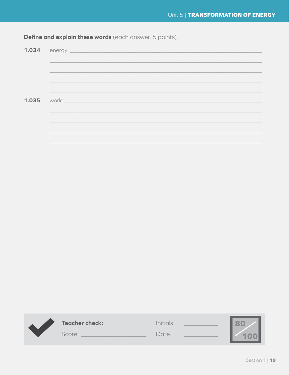| <b>Define and explain these words</b> (each answer, 5 points). |  |  |
|----------------------------------------------------------------|--|--|
|----------------------------------------------------------------|--|--|

| <b>1.035</b> work: <b>work: 2.035</b> work: <b>2.035</b> work: <b>2.035</b> |
|-----------------------------------------------------------------------------|
|                                                                             |

| <b>Teacher check:</b> | <b>Initials</b> |  |
|-----------------------|-----------------|--|
| Score                 | Date.           |  |